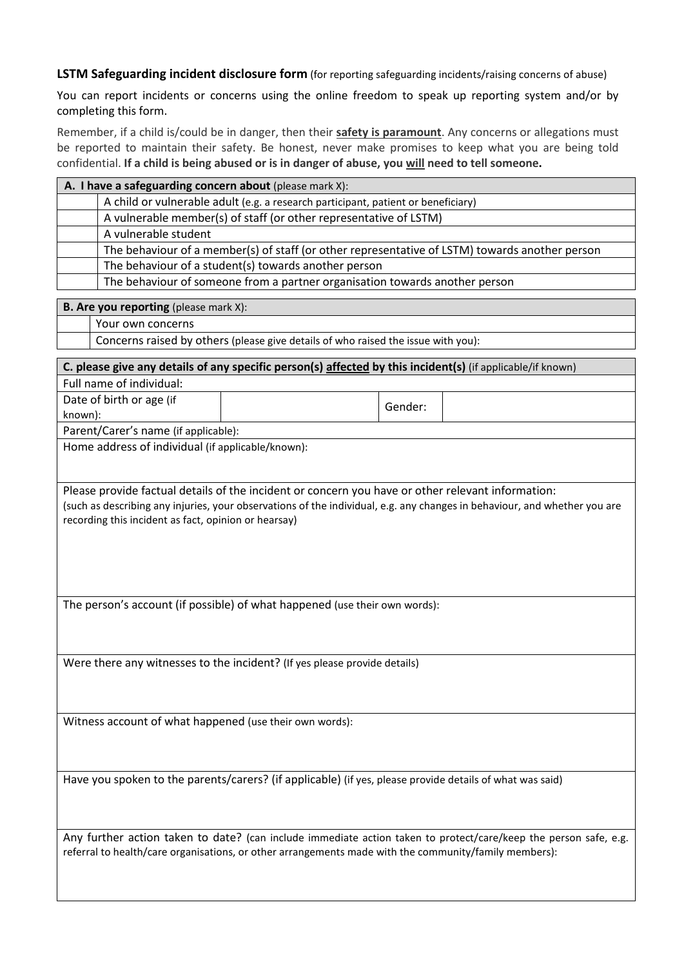**LSTM Safeguarding incident disclosure form** (for reporting safeguarding incidents/raising concerns of abuse)

You can report incidents or concerns using the online freedom to speak up reporting system and/or by completing this form.

Remember, if a child is/could be in danger, then their **safety is paramount**. Any concerns or allegations must be reported to maintain their safety. Be honest, never make promises to keep what you are being told confidential. **If a child is being abused or is in danger of abuse, you will need to tell someone.**

| A. I have a safeguarding concern about (please mark X): |                                                                                                |  |
|---------------------------------------------------------|------------------------------------------------------------------------------------------------|--|
|                                                         | A child or vulnerable adult (e.g. a research participant, patient or beneficiary)              |  |
|                                                         | A vulnerable member(s) of staff (or other representative of LSTM)                              |  |
|                                                         | A vulnerable student                                                                           |  |
|                                                         | The behaviour of a member(s) of staff (or other representative of LSTM) towards another person |  |
|                                                         | The behaviour of a student(s) towards another person                                           |  |
|                                                         | The behaviour of someone from a partner organisation towards another person                    |  |

| <b>B. Are you reporting</b> (please mark X): |                                                                                   |  |  |  |
|----------------------------------------------|-----------------------------------------------------------------------------------|--|--|--|
|                                              | Your own concerns                                                                 |  |  |  |
|                                              | Concerns raised by others (please give details of who raised the issue with you): |  |  |  |
|                                              |                                                                                   |  |  |  |

| C. please give any details of any specific person(s) affected by this incident(s) (if applicable/if known)                                                                                                                                                                             |                                                   |         |  |  |  |  |  |
|----------------------------------------------------------------------------------------------------------------------------------------------------------------------------------------------------------------------------------------------------------------------------------------|---------------------------------------------------|---------|--|--|--|--|--|
| Full name of individual:                                                                                                                                                                                                                                                               |                                                   |         |  |  |  |  |  |
| Date of birth or age (if                                                                                                                                                                                                                                                               |                                                   | Gender: |  |  |  |  |  |
| known):                                                                                                                                                                                                                                                                                |                                                   |         |  |  |  |  |  |
| Parent/Carer's name (if applicable):                                                                                                                                                                                                                                                   |                                                   |         |  |  |  |  |  |
|                                                                                                                                                                                                                                                                                        | Home address of individual (if applicable/known): |         |  |  |  |  |  |
|                                                                                                                                                                                                                                                                                        |                                                   |         |  |  |  |  |  |
| Please provide factual details of the incident or concern you have or other relevant information:<br>(such as describing any injuries, your observations of the individual, e.g. any changes in behaviour, and whether you are<br>recording this incident as fact, opinion or hearsay) |                                                   |         |  |  |  |  |  |
| The person's account (if possible) of what happened (use their own words):                                                                                                                                                                                                             |                                                   |         |  |  |  |  |  |
| Were there any witnesses to the incident? (If yes please provide details)                                                                                                                                                                                                              |                                                   |         |  |  |  |  |  |
| Witness account of what happened (use their own words):                                                                                                                                                                                                                                |                                                   |         |  |  |  |  |  |
| Have you spoken to the parents/carers? (if applicable) (if yes, please provide details of what was said)                                                                                                                                                                               |                                                   |         |  |  |  |  |  |
| Any further action taken to date? (can include immediate action taken to protect/care/keep the person safe, e.g.<br>referral to health/care organisations, or other arrangements made with the community/family members):                                                              |                                                   |         |  |  |  |  |  |